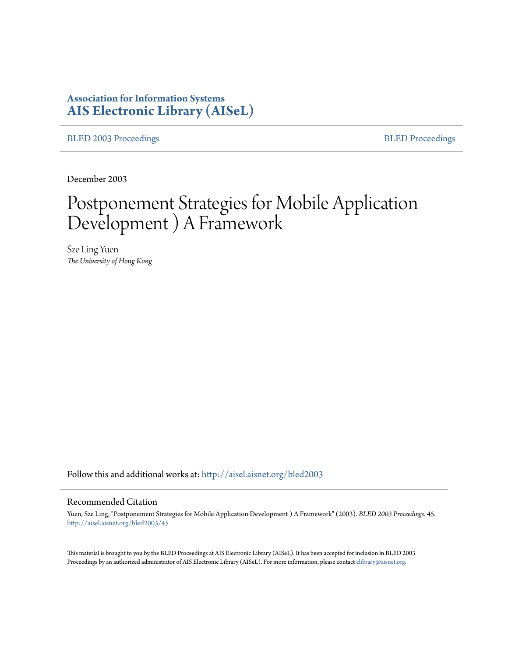# **Association for Information Systems [AIS Electronic Library \(AISeL\)](http://aisel.aisnet.org?utm_source=aisel.aisnet.org%2Fbled2003%2F45&utm_medium=PDF&utm_campaign=PDFCoverPages)**

[BLED 2003 Proceedings](http://aisel.aisnet.org/bled2003?utm_source=aisel.aisnet.org%2Fbled2003%2F45&utm_medium=PDF&utm_campaign=PDFCoverPages) **[BLED Proceedings](http://aisel.aisnet.org/bled?utm_source=aisel.aisnet.org%2Fbled2003%2F45&utm_medium=PDF&utm_campaign=PDFCoverPages)** 

December 2003

# Postponement Strategies for Mobile Application Development ) A Framework

Sze Ling Yuen *The University of Hong Kong*

Follow this and additional works at: [http://aisel.aisnet.org/bled2003](http://aisel.aisnet.org/bled2003?utm_source=aisel.aisnet.org%2Fbled2003%2F45&utm_medium=PDF&utm_campaign=PDFCoverPages)

#### Recommended Citation

Yuen, Sze Ling, "Postponement Strategies for Mobile Application Development ) A Framework" (2003). *BLED 2003 Proceedings*. 45. [http://aisel.aisnet.org/bled2003/45](http://aisel.aisnet.org/bled2003/45?utm_source=aisel.aisnet.org%2Fbled2003%2F45&utm_medium=PDF&utm_campaign=PDFCoverPages)

This material is brought to you by the BLED Proceedings at AIS Electronic Library (AISeL). It has been accepted for inclusion in BLED 2003 Proceedings by an authorized administrator of AIS Electronic Library (AISeL). For more information, please contact [elibrary@aisnet.org](mailto:elibrary@aisnet.org%3E).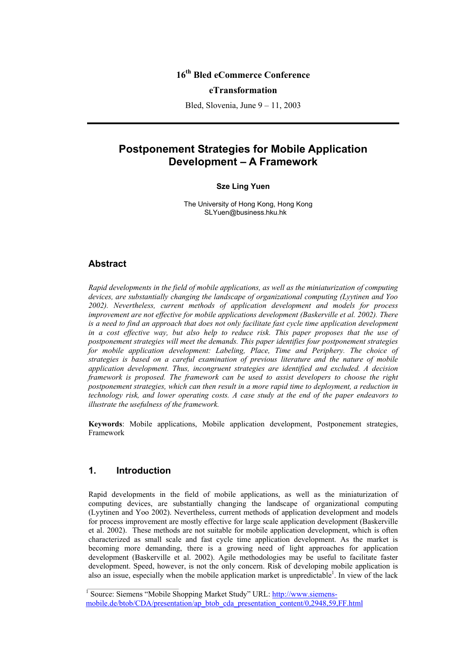# **16th Bled eCommerce Conference**

## **eTransformation**

Bled, Slovenia, June 9 – 11, 2003

# **Postponement Strategies for Mobile Application Development – A Framework**

#### **Sze Ling Yuen**

The University of Hong Kong, Hong Kong SLYuen@business.hku.hk

## **Abstract**

*Rapid developments in the field of mobile applications, as well as the miniaturization of computing devices, are substantially changing the landscape of organizational computing (Lyytinen and Yoo 2002). Nevertheless, current methods of application development and models for process improvement are not effective for mobile applications development (Baskerville et al. 2002). There*  is a need to find an approach that does not only facilitate fast cycle time application development *in a cost effective way, but also help to reduce risk. This paper proposes that the use of postponement strategies will meet the demands. This paper identifies four postponement strategies*  for mobile application development: Labeling, Place, Time and Periphery. The choice of *strategies is based on a careful examination of previous literature and the nature of mobile application development. Thus, incongruent strategies are identified and excluded. A decision framework is proposed. The framework can be used to assist developers to choose the right postponement strategies, which can then result in a more rapid time to deployment, a reduction in technology risk, and lower operating costs. A case study at the end of the paper endeavors to illustrate the usefulness of the framework.* 

**Keywords**: Mobile applications, Mobile application development, Postponement strategies, Framework

## **1. Introduction**

Rapid developments in the field of mobile applications, as well as the miniaturization of computing devices, are substantially changing the landscape of organizational computing (Lyytinen and Yoo 2002). Nevertheless, current methods of application development and models for process improvement are mostly effective for large scale application development (Baskerville et al. 2002). These methods are not suitable for mobile application development, which is often characterized as small scale and fast cycle time application development. As the market is becoming more demanding, there is a growing need of light approaches for application development (Baskerville et al. 2002). Agile methodologies may be useful to facilitate faster development. Speed, however, is not the only concern. Risk of developing mobile application is also an issue, especially when the mobile application market is unpredictable<sup>1</sup>. In view of the lack

<sup>&</sup>lt;sup>1</sup> Source: Siemens "Mobile Shopping Market Study" URL: http://www.siemensmobile.de/btob/CDA/presentation/ap\_btob\_cda\_presentation\_content/0,2948,59,FF.html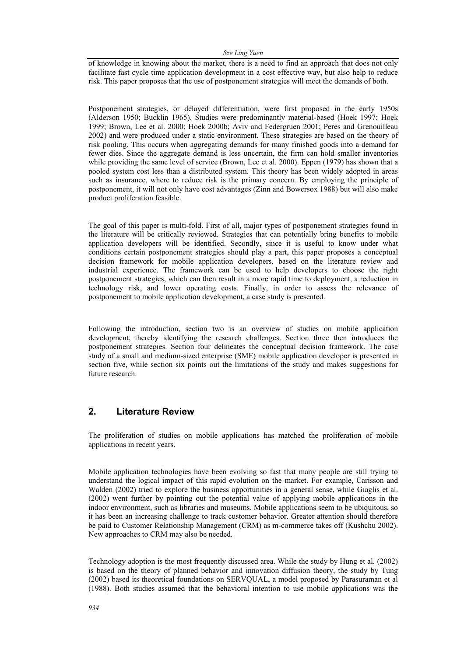*Sze Ling Yuen* 

of knowledge in knowing about the market, there is a need to find an approach that does not only facilitate fast cycle time application development in a cost effective way, but also help to reduce risk. This paper proposes that the use of postponement strategies will meet the demands of both.

Postponement strategies, or delayed differentiation, were first proposed in the early 1950s (Alderson 1950; Bucklin 1965). Studies were predominantly material-based (Hoek 1997; Hoek 1999; Brown, Lee et al. 2000; Hoek 2000b; Aviv and Federgruen 2001; Peres and Grenouilleau 2002) and were produced under a static environment. These strategies are based on the theory of risk pooling. This occurs when aggregating demands for many finished goods into a demand for fewer dies. Since the aggregate demand is less uncertain, the firm can hold smaller inventories while providing the same level of service (Brown, Lee et al. 2000). Eppen (1979) has shown that a pooled system cost less than a distributed system. This theory has been widely adopted in areas such as insurance, where to reduce risk is the primary concern. By employing the principle of postponement, it will not only have cost advantages (Zinn and Bowersox 1988) but will also make product proliferation feasible.

The goal of this paper is multi-fold. First of all, major types of postponement strategies found in the literature will be critically reviewed. Strategies that can potentially bring benefits to mobile application developers will be identified. Secondly, since it is useful to know under what conditions certain postponement strategies should play a part, this paper proposes a conceptual decision framework for mobile application developers, based on the literature review and industrial experience. The framework can be used to help developers to choose the right postponement strategies, which can then result in a more rapid time to deployment, a reduction in technology risk, and lower operating costs. Finally, in order to assess the relevance of postponement to mobile application development, a case study is presented.

Following the introduction, section two is an overview of studies on mobile application development, thereby identifying the research challenges. Section three then introduces the postponement strategies. Section four delineates the conceptual decision framework. The case study of a small and medium-sized enterprise (SME) mobile application developer is presented in section five, while section six points out the limitations of the study and makes suggestions for future research.

## **2. Literature Review**

The proliferation of studies on mobile applications has matched the proliferation of mobile applications in recent years.

Mobile application technologies have been evolving so fast that many people are still trying to understand the logical impact of this rapid evolution on the market. For example, Carisson and Walden (2002) tried to explore the business opportunities in a general sense, while Giaglis et al. (2002) went further by pointing out the potential value of applying mobile applications in the indoor environment, such as libraries and museums. Mobile applications seem to be ubiquitous, so it has been an increasing challenge to track customer behavior. Greater attention should therefore be paid to Customer Relationship Management (CRM) as m-commerce takes off (Kushchu 2002). New approaches to CRM may also be needed.

Technology adoption is the most frequently discussed area. While the study by Hung et al. (2002) is based on the theory of planned behavior and innovation diffusion theory, the study by Tung (2002) based its theoretical foundations on SERVQUAL, a model proposed by Parasuraman et al (1988). Both studies assumed that the behavioral intention to use mobile applications was the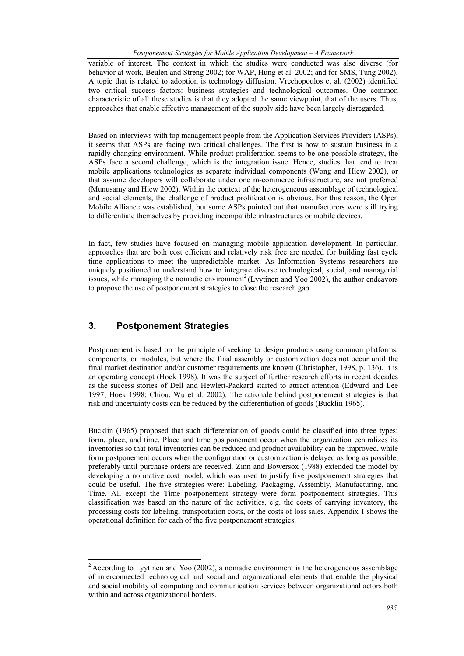variable of interest. The context in which the studies were conducted was also diverse (for behavior at work, Beulen and Streng 2002; for WAP, Hung et al. 2002; and for SMS, Tung 2002). A topic that is related to adoption is technology diffusion. Vrechopoulos et al. (2002) identified two critical success factors: business strategies and technological outcomes. One common characteristic of all these studies is that they adopted the same viewpoint, that of the users. Thus, approaches that enable effective management of the supply side have been largely disregarded.

Based on interviews with top management people from the Application Services Providers (ASPs), it seems that ASPs are facing two critical challenges. The first is how to sustain business in a rapidly changing environment. While product proliferation seems to be one possible strategy, the ASPs face a second challenge, which is the integration issue. Hence, studies that tend to treat mobile applications technologies as separate individual components (Wong and Hiew 2002), or that assume developers will collaborate under one m-commerce infrastructure, are not preferred (Munusamy and Hiew 2002). Within the context of the heterogeneous assemblage of technological and social elements, the challenge of product proliferation is obvious. For this reason, the Open Mobile Alliance was established, but some ASPs pointed out that manufacturers were still trying to differentiate themselves by providing incompatible infrastructures or mobile devices.

In fact, few studies have focused on managing mobile application development. In particular, approaches that are both cost efficient and relatively risk free are needed for building fast cycle time applications to meet the unpredictable market. As Information Systems researchers are uniquely positioned to understand how to integrate diverse technological, social, and managerial issues, while managing the nomadic environment<sup>2</sup> (Lyytinen and Yoo 2002), the author endeavors to propose the use of postponement strategies to close the research gap.

# **3. Postponement Strategies**

l

Postponement is based on the principle of seeking to design products using common platforms, components, or modules, but where the final assembly or customization does not occur until the final market destination and/or customer requirements are known (Christopher, 1998, p. 136). It is an operating concept (Hoek 1998). It was the subject of further research efforts in recent decades as the success stories of Dell and Hewlett-Packard started to attract attention (Edward and Lee 1997; Hoek 1998; Chiou, Wu et al. 2002). The rationale behind postponement strategies is that risk and uncertainty costs can be reduced by the differentiation of goods (Bucklin 1965).

Bucklin (1965) proposed that such differentiation of goods could be classified into three types: form, place, and time. Place and time postponement occur when the organization centralizes its inventories so that total inventories can be reduced and product availability can be improved, while form postponement occurs when the configuration or customization is delayed as long as possible, preferably until purchase orders are received. Zinn and Bowersox (1988) extended the model by developing a normative cost model, which was used to justify five postponement strategies that could be useful. The five strategies were: Labeling, Packaging, Assembly, Manufacturing, and Time. All except the Time postponement strategy were form postponement strategies. This classification was based on the nature of the activities, e.g. the costs of carrying inventory, the processing costs for labeling, transportation costs, or the costs of loss sales. Appendix 1 shows the operational definition for each of the five postponement strategies.

 $2$  According to Lyytinen and Yoo (2002), a nomadic environment is the heterogeneous assemblage of interconnected technological and social and organizational elements that enable the physical and social mobility of computing and communication services between organizational actors both within and across organizational borders.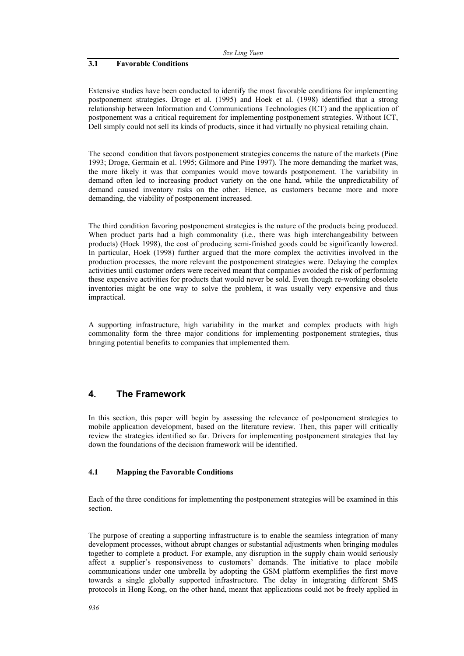#### **3.1 Favorable Conditions**

Extensive studies have been conducted to identify the most favorable conditions for implementing postponement strategies. Droge et al. (1995) and Hoek et al. (1998) identified that a strong relationship between Information and Communications Technologies (ICT) and the application of postponement was a critical requirement for implementing postponement strategies. Without ICT, Dell simply could not sell its kinds of products, since it had virtually no physical retailing chain.

The second condition that favors postponement strategies concerns the nature of the markets (Pine 1993; Droge, Germain et al. 1995; Gilmore and Pine 1997). The more demanding the market was, the more likely it was that companies would move towards postponement. The variability in demand often led to increasing product variety on the one hand, while the unpredictability of demand caused inventory risks on the other. Hence, as customers became more and more demanding, the viability of postponement increased.

The third condition favoring postponement strategies is the nature of the products being produced. When product parts had a high commonality (i.e., there was high interchangeability between products) (Hoek 1998), the cost of producing semi-finished goods could be significantly lowered. In particular, Hoek (1998) further argued that the more complex the activities involved in the production processes, the more relevant the postponement strategies were. Delaying the complex activities until customer orders were received meant that companies avoided the risk of performing these expensive activities for products that would never be sold. Even though re-working obsolete inventories might be one way to solve the problem, it was usually very expensive and thus impractical.

A supporting infrastructure, high variability in the market and complex products with high commonality form the three major conditions for implementing postponement strategies, thus bringing potential benefits to companies that implemented them.

## **4. The Framework**

In this section, this paper will begin by assessing the relevance of postponement strategies to mobile application development, based on the literature review. Then, this paper will critically review the strategies identified so far. Drivers for implementing postponement strategies that lay down the foundations of the decision framework will be identified.

#### **4.1 Mapping the Favorable Conditions**

Each of the three conditions for implementing the postponement strategies will be examined in this section.

The purpose of creating a supporting infrastructure is to enable the seamless integration of many development processes, without abrupt changes or substantial adjustments when bringing modules together to complete a product. For example, any disruption in the supply chain would seriously affect a supplier's responsiveness to customers' demands. The initiative to place mobile communications under one umbrella by adopting the GSM platform exemplifies the first move towards a single globally supported infrastructure. The delay in integrating different SMS protocols in Hong Kong, on the other hand, meant that applications could not be freely applied in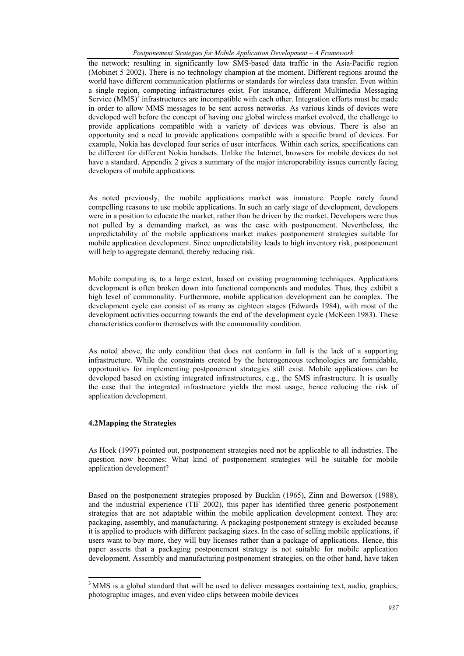the network; resulting in significantly low SMS-based data traffic in the Asia-Pacific region (Mobinet 5 2002). There is no technology champion at the moment. Different regions around the world have different communication platforms or standards for wireless data transfer. Even within a single region, competing infrastructures exist. For instance, different Multimedia Messaging Service  $(MMS)^3$  infrastructures are incompatible with each other. Integration efforts must be made in order to allow MMS messages to be sent across networks. As various kinds of devices were developed well before the concept of having one global wireless market evolved, the challenge to provide applications compatible with a variety of devices was obvious. There is also an opportunity and a need to provide applications compatible with a specific brand of devices. For example, Nokia has developed four series of user interfaces. Within each series, specifications can be different for different Nokia handsets. Unlike the Internet, browsers for mobile devices do not have a standard. Appendix 2 gives a summary of the major interoperability issues currently facing developers of mobile applications.

As noted previously, the mobile applications market was immature. People rarely found compelling reasons to use mobile applications. In such an early stage of development, developers were in a position to educate the market, rather than be driven by the market. Developers were thus not pulled by a demanding market, as was the case with postponement. Nevertheless, the unpredictability of the mobile applications market makes postponement strategies suitable for mobile application development. Since unpredictability leads to high inventory risk, postponement will help to aggregate demand, thereby reducing risk.

Mobile computing is, to a large extent, based on existing programming techniques. Applications development is often broken down into functional components and modules. Thus, they exhibit a high level of commonality. Furthermore, mobile application development can be complex. The development cycle can consist of as many as eighteen stages (Edwards 1984), with most of the development activities occurring towards the end of the development cycle (McKeen 1983). These characteristics conform themselves with the commonality condition.

As noted above, the only condition that does not conform in full is the lack of a supporting infrastructure. While the constraints created by the heterogeneous technologies are formidable, opportunities for implementing postponement strategies still exist. Mobile applications can be developed based on existing integrated infrastructures, e.g., the SMS infrastructure. It is usually the case that the integrated infrastructure yields the most usage, hence reducing the risk of application development.

### **4.2 Mapping the Strategies**

l

As Hoek (1997) pointed out, postponement strategies need not be applicable to all industries. The question now becomes: What kind of postponement strategies will be suitable for mobile application development?

Based on the postponement strategies proposed by Bucklin (1965), Zinn and Bowersox (1988), and the industrial experience (TIF 2002), this paper has identified three generic postponement strategies that are not adaptable within the mobile application development context. They are: packaging, assembly, and manufacturing. A packaging postponement strategy is excluded because it is applied to products with different packaging sizes. In the case of selling mobile applications, if users want to buy more, they will buy licenses rather than a package of applications. Hence, this paper asserts that a packaging postponement strategy is not suitable for mobile application development. Assembly and manufacturing postponement strategies, on the other hand, have taken

<sup>&</sup>lt;sup>3</sup> MMS is a global standard that will be used to deliver messages containing text, audio, graphics, photographic images, and even video clips between mobile devices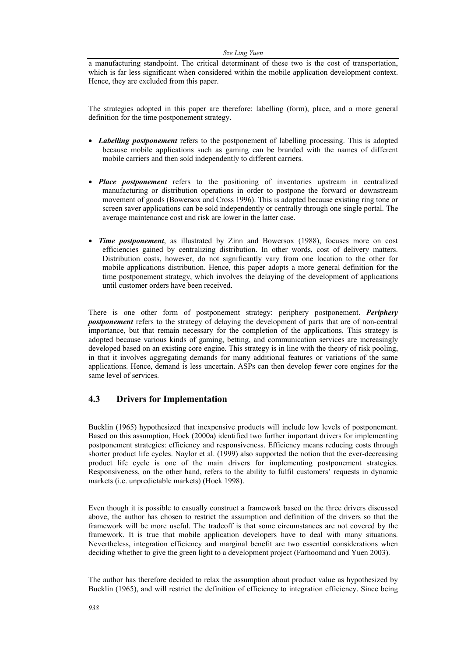#### *Sze Ling Yuen*

a manufacturing standpoint. The critical determinant of these two is the cost of transportation, which is far less significant when considered within the mobile application development context. Hence, they are excluded from this paper.

The strategies adopted in this paper are therefore: labelling (form), place, and a more general definition for the time postponement strategy.

- *Labelling postponement* refers to the postponement of labelling processing. This is adopted because mobile applications such as gaming can be branded with the names of different mobile carriers and then sold independently to different carriers.
- *Place postponement* refers to the positioning of inventories upstream in centralized manufacturing or distribution operations in order to postpone the forward or downstream movement of goods (Bowersox and Cross 1996). This is adopted because existing ring tone or screen saver applications can be sold independently or centrally through one single portal. The average maintenance cost and risk are lower in the latter case.
- *Time postponement*, as illustrated by Zinn and Bowersox (1988), focuses more on cost efficiencies gained by centralizing distribution. In other words, cost of delivery matters. Distribution costs, however, do not significantly vary from one location to the other for mobile applications distribution. Hence, this paper adopts a more general definition for the time postponement strategy, which involves the delaying of the development of applications until customer orders have been received.

There is one other form of postponement strategy: periphery postponement. *Periphery postponement* refers to the strategy of delaying the development of parts that are of non-central importance, but that remain necessary for the completion of the applications. This strategy is adopted because various kinds of gaming, betting, and communication services are increasingly developed based on an existing core engine. This strategy is in line with the theory of risk pooling, in that it involves aggregating demands for many additional features or variations of the same applications. Hence, demand is less uncertain. ASPs can then develop fewer core engines for the same level of services.

## **4.3 Drivers for Implementation**

Bucklin (1965) hypothesized that inexpensive products will include low levels of postponement. Based on this assumption, Hoek (2000a) identified two further important drivers for implementing postponement strategies: efficiency and responsiveness. Efficiency means reducing costs through shorter product life cycles. Naylor et al. (1999) also supported the notion that the ever-decreasing product life cycle is one of the main drivers for implementing postponement strategies. Responsiveness, on the other hand, refers to the ability to fulfil customers' requests in dynamic markets (i.e. unpredictable markets) (Hoek 1998).

Even though it is possible to casually construct a framework based on the three drivers discussed above, the author has chosen to restrict the assumption and definition of the drivers so that the framework will be more useful. The tradeoff is that some circumstances are not covered by the framework. It is true that mobile application developers have to deal with many situations. Nevertheless, integration efficiency and marginal benefit are two essential considerations when deciding whether to give the green light to a development project (Farhoomand and Yuen 2003).

The author has therefore decided to relax the assumption about product value as hypothesized by Bucklin (1965), and will restrict the definition of efficiency to integration efficiency. Since being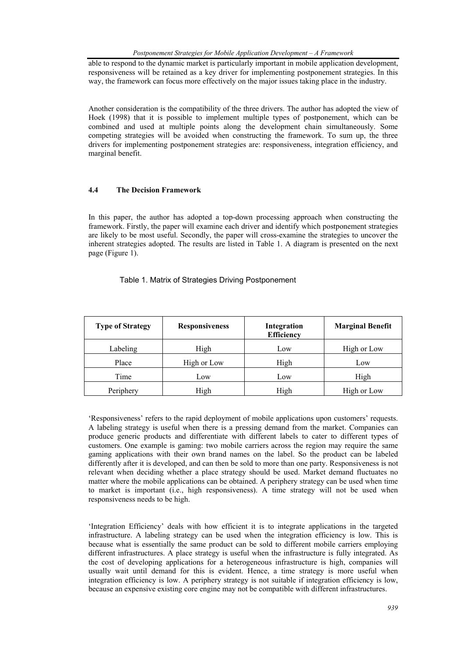able to respond to the dynamic market is particularly important in mobile application development, responsiveness will be retained as a key driver for implementing postponement strategies. In this way, the framework can focus more effectively on the major issues taking place in the industry.

Another consideration is the compatibility of the three drivers. The author has adopted the view of Hoek (1998) that it is possible to implement multiple types of postponement, which can be combined and used at multiple points along the development chain simultaneously. Some competing strategies will be avoided when constructing the framework. To sum up, the three drivers for implementing postponement strategies are: responsiveness, integration efficiency, and marginal benefit.

#### **4.4 The Decision Framework**

In this paper, the author has adopted a top-down processing approach when constructing the framework. Firstly, the paper will examine each driver and identify which postponement strategies are likely to be most useful. Secondly, the paper will cross-examine the strategies to uncover the inherent strategies adopted. The results are listed in Table 1. A diagram is presented on the next page (Figure 1).

#### Table 1. Matrix of Strategies Driving Postponement

| <b>Type of Strategy</b> | <b>Responsiveness</b> | Integration<br><b>Efficiency</b> | <b>Marginal Benefit</b> |
|-------------------------|-----------------------|----------------------------------|-------------------------|
| Labeling                | High                  | Low                              | High or Low             |
| Place                   | High or Low           | High                             | Low                     |
| Time                    | Low                   | Low                              | High                    |
| Periphery               | High                  | High                             | High or Low             |

'Responsiveness' refers to the rapid deployment of mobile applications upon customers' requests. A labeling strategy is useful when there is a pressing demand from the market. Companies can produce generic products and differentiate with different labels to cater to different types of customers. One example is gaming: two mobile carriers across the region may require the same gaming applications with their own brand names on the label. So the product can be labeled differently after it is developed, and can then be sold to more than one party. Responsiveness is not relevant when deciding whether a place strategy should be used. Market demand fluctuates no matter where the mobile applications can be obtained. A periphery strategy can be used when time to market is important (i.e., high responsiveness). A time strategy will not be used when responsiveness needs to be high.

'Integration Efficiency' deals with how efficient it is to integrate applications in the targeted infrastructure. A labeling strategy can be used when the integration efficiency is low. This is because what is essentially the same product can be sold to different mobile carriers employing different infrastructures. A place strategy is useful when the infrastructure is fully integrated. As the cost of developing applications for a heterogeneous infrastructure is high, companies will usually wait until demand for this is evident. Hence, a time strategy is more useful when integration efficiency is low. A periphery strategy is not suitable if integration efficiency is low, because an expensive existing core engine may not be compatible with different infrastructures.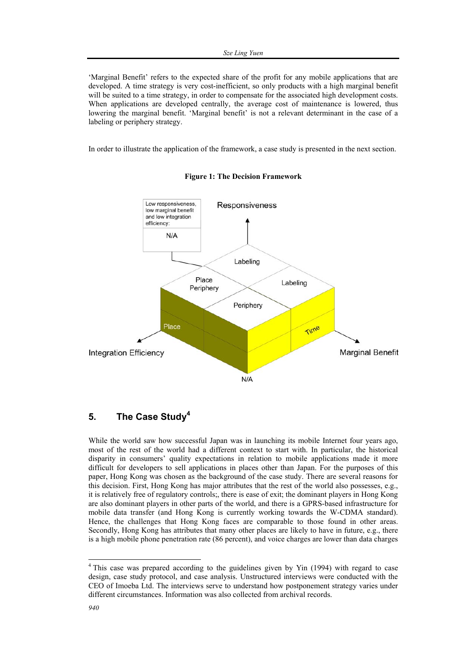'Marginal Benefit' refers to the expected share of the profit for any mobile applications that are developed. A time strategy is very cost-inefficient, so only products with a high marginal benefit will be suited to a time strategy, in order to compensate for the associated high development costs. When applications are developed centrally, the average cost of maintenance is lowered, thus lowering the marginal benefit. 'Marginal benefit' is not a relevant determinant in the case of a labeling or periphery strategy.

In order to illustrate the application of the framework, a case study is presented in the next section.





# **5. The Case Study4**

While the world saw how successful Japan was in launching its mobile Internet four years ago, most of the rest of the world had a different context to start with. In particular, the historical disparity in consumers' quality expectations in relation to mobile applications made it more difficult for developers to sell applications in places other than Japan. For the purposes of this paper, Hong Kong was chosen as the background of the case study. There are several reasons for this decision. First, Hong Kong has major attributes that the rest of the world also possesses, e.g., it is relatively free of regulatory controls;, there is ease of exit; the dominant players in Hong Kong are also dominant players in other parts of the world, and there is a GPRS-based infrastructure for mobile data transfer (and Hong Kong is currently working towards the W-CDMA standard). Hence, the challenges that Hong Kong faces are comparable to those found in other areas. Secondly, Hong Kong has attributes that many other places are likely to have in future, e.g., there is a high mobile phone penetration rate (86 percent), and voice charges are lower than data charges

l

<sup>&</sup>lt;sup>4</sup> This case was prepared according to the guidelines given by Yin (1994) with regard to case design, case study protocol, and case analysis. Unstructured interviews were conducted with the CEO of Imoeba Ltd. The interviews serve to understand how postponement strategy varies under different circumstances. Information was also collected from archival records.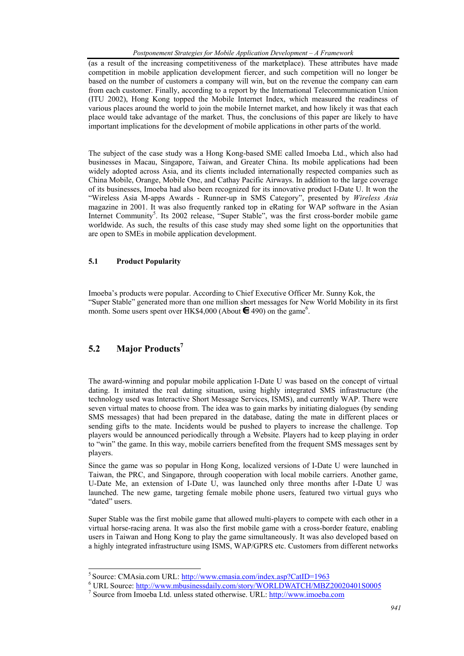(as a result of the increasing competitiveness of the marketplace). These attributes have made competition in mobile application development fiercer, and such competition will no longer be based on the number of customers a company will win, but on the revenue the company can earn from each customer. Finally, according to a report by the International Telecommunication Union (ITU 2002), Hong Kong topped the Mobile Internet Index, which measured the readiness of various places around the world to join the mobile Internet market, and how likely it was that each place would take advantage of the market. Thus, the conclusions of this paper are likely to have important implications for the development of mobile applications in other parts of the world.

The subject of the case study was a Hong Kong-based SME called Imoeba Ltd., which also had businesses in Macau, Singapore, Taiwan, and Greater China. Its mobile applications had been widely adopted across Asia, and its clients included internationally respected companies such as China Mobile, Orange, Mobile One, and Cathay Pacific Airways. In addition to the large coverage of its businesses, Imoeba had also been recognized for its innovative product I-Date U. It won the "Wireless Asia M-apps Awards - Runner-up in SMS Category", presented by *Wireless Asia* magazine in 2001. It was also frequently ranked top in eRating for WAP software in the Asian Internet Community<sup>5</sup>. Its 2002 release, "Super Stable", was the first cross-border mobile game worldwide. As such, the results of this case study may shed some light on the opportunities that are open to SMEs in mobile application development.

#### **5.1 Product Popularity**

Imoeba's products were popular. According to Chief Executive Officer Mr. Sunny Kok, the "Super Stable" generated more than one million short messages for New World Mobility in its first month. Some users spent over HK\$4,000 (About  $\blacksquare$  490) on the game<sup>6</sup>.

# **5.2 Major Products7**

l

The award-winning and popular mobile application I-Date U was based on the concept of virtual dating. It imitated the real dating situation, using highly integrated SMS infrastructure (the technology used was Interactive Short Message Services, ISMS), and currently WAP. There were seven virtual mates to choose from. The idea was to gain marks by initiating dialogues (by sending SMS messages) that had been prepared in the database, dating the mate in different places or sending gifts to the mate. Incidents would be pushed to players to increase the challenge. Top players would be announced periodically through a Website. Players had to keep playing in order to "win" the game. In this way, mobile carriers benefited from the frequent SMS messages sent by players.

Since the game was so popular in Hong Kong, localized versions of I-Date U were launched in Taiwan, the PRC, and Singapore, through cooperation with local mobile carriers. Another game, U-Date Me, an extension of I-Date U, was launched only three months after I-Date U was launched. The new game, targeting female mobile phone users, featured two virtual guys who "dated" users.

Super Stable was the first mobile game that allowed multi-players to compete with each other in a virtual horse-racing arena. It was also the first mobile game with a cross-border feature, enabling users in Taiwan and Hong Kong to play the game simultaneously. It was also developed based on a highly integrated infrastructure using ISMS, WAP/GPRS etc. Customers from different networks

<sup>5</sup> Source: CMAsia.com URL: http://www.cmasia.com/index.asp?CatID=1963 <sup>6</sup>

URL Source: http://www.mbusinessdaily.com/story/WORLDWATCH/MBZ20020401S0005 <sup>7</sup>

Source from Imoeba Ltd. unless stated otherwise. URL: http://www.imoeba.com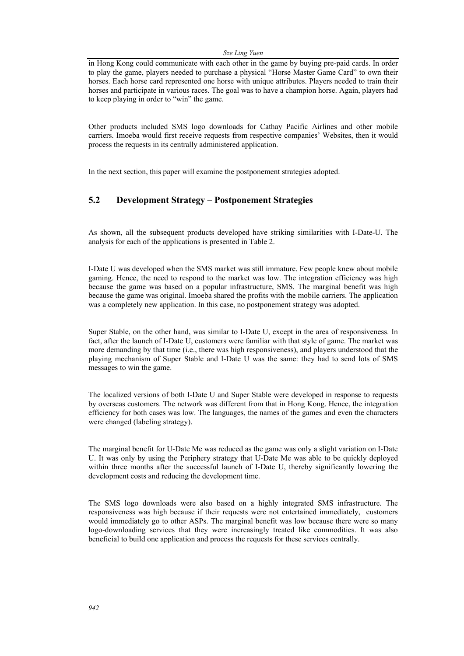#### *Sze Ling Yuen*

in Hong Kong could communicate with each other in the game by buying pre-paid cards. In order to play the game, players needed to purchase a physical "Horse Master Game Card" to own their horses. Each horse card represented one horse with unique attributes. Players needed to train their horses and participate in various races. The goal was to have a champion horse. Again, players had to keep playing in order to "win" the game.

Other products included SMS logo downloads for Cathay Pacific Airlines and other mobile carriers. Imoeba would first receive requests from respective companies' Websites, then it would process the requests in its centrally administered application.

In the next section, this paper will examine the postponement strategies adopted.

## **5.2 Development Strategy – Postponement Strategies**

As shown, all the subsequent products developed have striking similarities with I-Date-U. The analysis for each of the applications is presented in Table 2.

I-Date U was developed when the SMS market was still immature. Few people knew about mobile gaming. Hence, the need to respond to the market was low. The integration efficiency was high because the game was based on a popular infrastructure, SMS. The marginal benefit was high because the game was original. Imoeba shared the profits with the mobile carriers. The application was a completely new application. In this case, no postponement strategy was adopted.

Super Stable, on the other hand, was similar to I-Date U, except in the area of responsiveness. In fact, after the launch of I-Date U, customers were familiar with that style of game. The market was more demanding by that time (i.e., there was high responsiveness), and players understood that the playing mechanism of Super Stable and I-Date U was the same: they had to send lots of SMS messages to win the game.

The localized versions of both I-Date U and Super Stable were developed in response to requests by overseas customers. The network was different from that in Hong Kong. Hence, the integration efficiency for both cases was low. The languages, the names of the games and even the characters were changed (labeling strategy).

The marginal benefit for U-Date Me was reduced as the game was only a slight variation on I-Date U. It was only by using the Periphery strategy that U-Date Me was able to be quickly deployed within three months after the successful launch of I-Date U, thereby significantly lowering the development costs and reducing the development time.

The SMS logo downloads were also based on a highly integrated SMS infrastructure. The responsiveness was high because if their requests were not entertained immediately, customers would immediately go to other ASPs. The marginal benefit was low because there were so many logo-downloading services that they were increasingly treated like commodities. It was also beneficial to build one application and process the requests for these services centrally.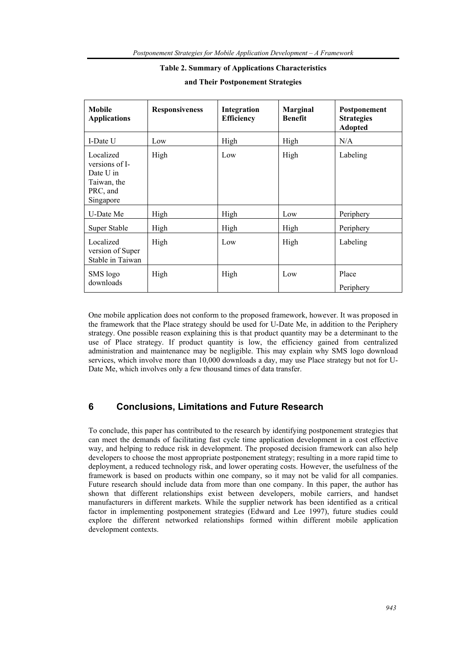#### **Table 2. Summary of Applications Characteristics**

| <b>Mobile</b><br><b>Applications</b>                                             | <b>Responsiveness</b> | Integration<br><b>Efficiency</b> | <b>Marginal</b><br><b>Benefit</b> | Postponement<br><b>Strategies</b><br><b>Adopted</b> |
|----------------------------------------------------------------------------------|-----------------------|----------------------------------|-----------------------------------|-----------------------------------------------------|
| I-Date U                                                                         | Low                   | High                             | High                              | N/A                                                 |
| Localized<br>versions of I-<br>Date U in<br>Taiwan, the<br>PRC, and<br>Singapore | High                  | Low                              | High                              | Labeling                                            |
| U-Date Me                                                                        | High                  | High                             | Low                               | Periphery                                           |
| Super Stable                                                                     | High                  | High                             | High                              | Periphery                                           |
| Localized<br>version of Super<br>Stable in Taiwan                                | High                  | Low                              | High                              | Labeling                                            |
| SMS logo<br>downloads                                                            | High                  | High                             | Low                               | Place<br>Periphery                                  |

#### **and Their Postponement Strategies**

One mobile application does not conform to the proposed framework, however. It was proposed in the framework that the Place strategy should be used for U-Date Me, in addition to the Periphery strategy. One possible reason explaining this is that product quantity may be a determinant to the use of Place strategy. If product quantity is low, the efficiency gained from centralized administration and maintenance may be negligible. This may explain why SMS logo download services, which involve more than 10,000 downloads a day, may use Place strategy but not for U-Date Me, which involves only a few thousand times of data transfer.

## **6 Conclusions, Limitations and Future Research**

To conclude, this paper has contributed to the research by identifying postponement strategies that can meet the demands of facilitating fast cycle time application development in a cost effective way, and helping to reduce risk in development. The proposed decision framework can also help developers to choose the most appropriate postponement strategy; resulting in a more rapid time to deployment, a reduced technology risk, and lower operating costs. However, the usefulness of the framework is based on products within one company, so it may not be valid for all companies. Future research should include data from more than one company. In this paper, the author has shown that different relationships exist between developers, mobile carriers, and handset manufacturers in different markets. While the supplier network has been identified as a critical factor in implementing postponement strategies (Edward and Lee 1997), future studies could explore the different networked relationships formed within different mobile application development contexts.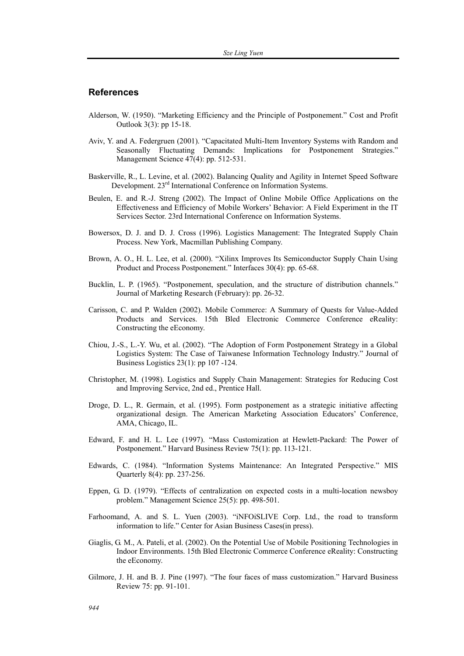## **References**

- Alderson, W. (1950). "Marketing Efficiency and the Principle of Postponement." Cost and Profit Outlook 3(3): pp 15-18.
- Aviv, Y. and A. Federgruen (2001). "Capacitated Multi-Item Inventory Systems with Random and Seasonally Fluctuating Demands: Implications for Postponement Strategies." Management Science 47(4): pp. 512-531.
- Baskerville, R., L. Levine, et al. (2002). Balancing Quality and Agility in Internet Speed Software Development. 23<sup>rd</sup> International Conference on Information Systems.
- Beulen, E. and R.-J. Streng (2002). The Impact of Online Mobile Office Applications on the Effectiveness and Efficiency of Mobile Workers' Behavior: A Field Experiment in the IT Services Sector. 23rd International Conference on Information Systems.
- Bowersox, D. J. and D. J. Cross (1996). Logistics Management: The Integrated Supply Chain Process. New York, Macmillan Publishing Company.
- Brown, A. O., H. L. Lee, et al. (2000). "Xilinx Improves Its Semiconductor Supply Chain Using Product and Process Postponement." Interfaces 30(4): pp. 65-68.
- Bucklin, L. P. (1965). "Postponement, speculation, and the structure of distribution channels." Journal of Marketing Research (February): pp. 26-32.
- Carisson, C. and P. Walden (2002). Mobile Commerce: A Summary of Quests for Value-Added Products and Services. 15th Bled Electronic Commerce Conference eReality: Constructing the eEconomy.
- Chiou, J.-S., L.-Y. Wu, et al. (2002). "The Adoption of Form Postponement Strategy in a Global Logistics System: The Case of Taiwanese Information Technology Industry." Journal of Business Logistics 23(1): pp 107 -124.
- Christopher, M. (1998). Logistics and Supply Chain Management: Strategies for Reducing Cost and Improving Service, 2nd ed., Prentice Hall.
- Droge, D. L., R. Germain, et al. (1995). Form postponement as a strategic initiative affecting organizational design. The American Marketing Association Educators' Conference, AMA, Chicago, IL.
- Edward, F. and H. L. Lee (1997). "Mass Customization at Hewlett-Packard: The Power of Postponement." Harvard Business Review 75(1): pp. 113-121.
- Edwards, C. (1984). "Information Systems Maintenance: An Integrated Perspective." MIS Quarterly 8(4): pp. 237-256.
- Eppen, G. D. (1979). "Effects of centralization on expected costs in a multi-location newsboy problem." Management Science 25(5): pp. 498-501.
- Farhoomand, A. and S. L. Yuen (2003). "iNFOiSLIVE Corp. Ltd., the road to transform information to life." Center for Asian Business Cases(in press).
- Giaglis, G. M., A. Pateli, et al. (2002). On the Potential Use of Mobile Positioning Technologies in Indoor Environments. 15th Bled Electronic Commerce Conference eReality: Constructing the eEconomy.
- Gilmore, J. H. and B. J. Pine (1997). "The four faces of mass customization." Harvard Business Review 75: pp. 91-101.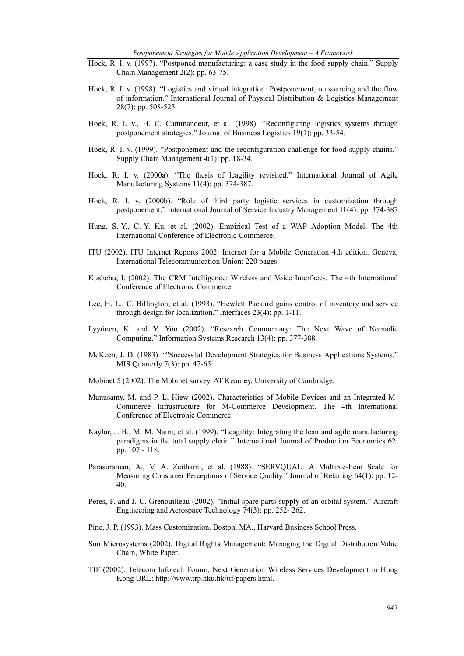*Postponement Strategies for Mobile Application Development – A Framework* 

- Hoek, R. I. v. (1997). "Postponed manufacturing: a case study in the food supply chain." Supply Chain Management 2(2): pp. 63-75.
- Hoek, R. I. v. (1998). "Logistics and virtual integration: Postponement, outsourcing and the flow of information." International Journal of Physical Distribution & Logistics Management 28(7): pp. 508-523.
- Hoek, R. I. v., H. C. Cammandeur, et al. (1998). "Reconfiguring logistics systems through postponement strategies." Journal of Business Logistics 19(1): pp. 33-54.
- Hoek, R. I. v. (1999). "Postponement and the reconfiguration challenge for food supply chains." Supply Chain Management 4(1): pp. 18-34.
- Hoek, R. I. v. (2000a). "The thesis of leagility revisited." International Journal of Agile Manufacturing Systems 11(4): pp. 374-387.
- Hoek, R. I. v. (2000b). "Role of third party logistic services in customization through postponement." International Journal of Service Industry Management 11(4): pp. 374-387.
- Hung, S.-Y., C.-Y. Ku, et al. (2002). Empirical Test of a WAP Adoption Model. The 4th International Conference of Electronic Commerce.
- ITU (2002). ITU Internet Reports 2002: Internet for a Mobile Generation 4th edition. Geneva, International Telecommunication Union: 220 pages.
- Kushchu, I. (2002). The CRM Intelligence: Wireless and Voice Interfaces. The 4th International Conference of Electronic Commerce.
- Lee, H. L., C. Billington, et al. (1993). "Hewlett Packard gains control of inventory and service through design for localization." Interfaces 23(4): pp. 1-11.
- Lyytinen, K. and Y. Yoo (2002). "Research Commentary: The Next Wave of Nomadic Computing." Information Systems Research 13(4): pp. 377-388.
- McKeen, J. D. (1983). ""Successful Development Strategies for Business Applications Systems." MIS Quarterly 7(3): pp. 47-65.
- Mobinet 5 (2002). The Mobinet survey, AT Kearney, University of Cambridge.
- Munusamy, M. and P. L. Hiew (2002). Characteristics of Mobile Devices and an Integrated M-Commerce Infrastructure for M-Commerce Development. The 4th International Conference of Electronic Commerce.
- Naylor, J. B., M. M. Naim, et al. (1999). "Leagility: Integrating the lean and agile manufacturing paradigms in the total supply chain." International Journal of Production Economics 62: pp. 107 - 118.
- Parasuraman, A., V. A. Zeithaml, et al. (1988). "SERVQUAL: A Multiple-Item Scale for Measuring Consumer Perceptions of Service Quality." Journal of Retailing 64(1): pp. 12- 40.
- Peres, F. and J.-C. Grenouilleau (2002). "Initial spare parts supply of an orbital system." Aircraft Engineering and Aerospace Technology 74(3): pp. 252- 262.
- Pine, J. P. (1993). Mass Customization. Boston, MA., Harvard Business School Press.
- Sun Microsystems (2002). Digital Rights Management: Managing the Digital Distribution Value Chain, White Paper.
- TIF (2002). Telecom Infotech Forum, Next Generation Wireless Services Development in Hong Kong URL: http://www.trp.hku.hk/tif/papers.html.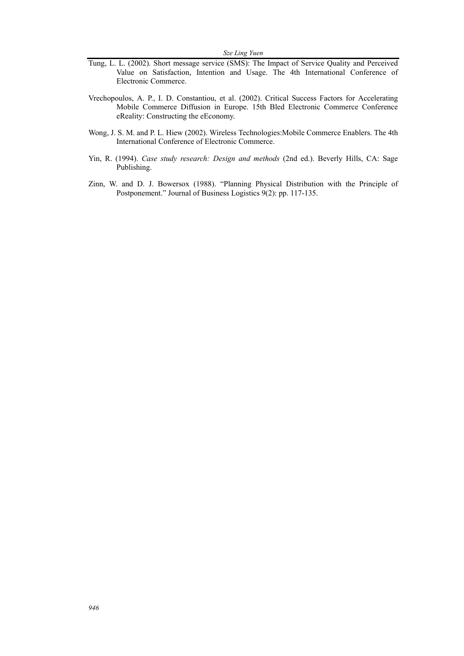- Tung, L. L. (2002). Short message service (SMS): The Impact of Service Quality and Perceived Value on Satisfaction, Intention and Usage. The 4th International Conference of Electronic Commerce.
- Vrechopoulos, A. P., I. D. Constantiou, et al. (2002). Critical Success Factors for Accelerating Mobile Commerce Diffusion in Europe. 15th Bled Electronic Commerce Conference eReality: Constructing the eEconomy.
- Wong, J. S. M. and P. L. Hiew (2002). Wireless Technologies:Mobile Commerce Enablers. The 4th International Conference of Electronic Commerce.
- Yin, R. (1994). *Case study research: Design and methods* (2nd ed.). Beverly Hills, CA: Sage Publishing.
- Zinn, W. and D. J. Bowersox (1988). "Planning Physical Distribution with the Principle of Postponement." Journal of Business Logistics 9(2): pp. 117-135.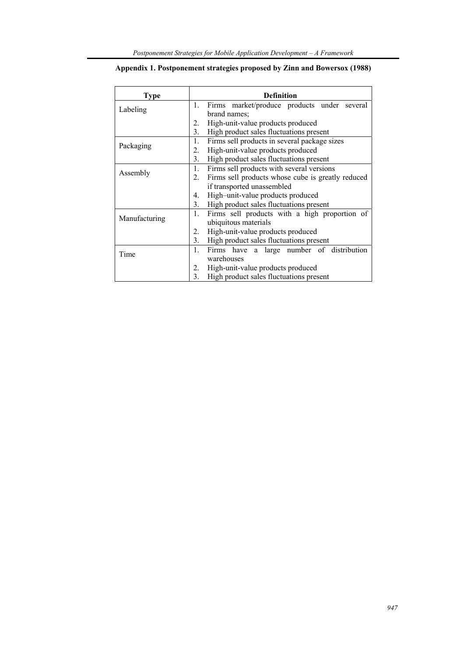| Type          | <b>Definition</b>                                               |  |  |  |
|---------------|-----------------------------------------------------------------|--|--|--|
|               | Firms market/produce products under several<br>1.               |  |  |  |
| Labeling      | brand names;                                                    |  |  |  |
|               | High-unit-value products produced<br>2.                         |  |  |  |
|               | High product sales fluctuations present<br>3.                   |  |  |  |
|               | Firms sell products in several package sizes<br>1.              |  |  |  |
| Packaging     | High-unit-value products produced                               |  |  |  |
|               | High product sales fluctuations present<br>3.                   |  |  |  |
| Assembly      | Firms sell products with several versions                       |  |  |  |
|               | Firms sell products whose cube is greatly reduced<br>$2_{-}$    |  |  |  |
|               | if transported unassembled                                      |  |  |  |
|               | High-unit-value products produced<br>4.                         |  |  |  |
|               | High product sales fluctuations present<br>3.                   |  |  |  |
|               | $\mathbf{1}$ .<br>Firms sell products with a high proportion of |  |  |  |
| Manufacturing | ubiquitous materials                                            |  |  |  |
|               | High-unit-value products produced<br>2.                         |  |  |  |
|               | High product sales fluctuations present<br>3.                   |  |  |  |
|               | $1_{-}$<br>Firms have a large number of distribution            |  |  |  |
| Time          | warehouses                                                      |  |  |  |
|               | High-unit-value products produced<br>2.                         |  |  |  |
|               | 3.<br>High product sales fluctuations present                   |  |  |  |

## **Appendix 1. Postponement strategies proposed by Zinn and Bowersox (1988)**